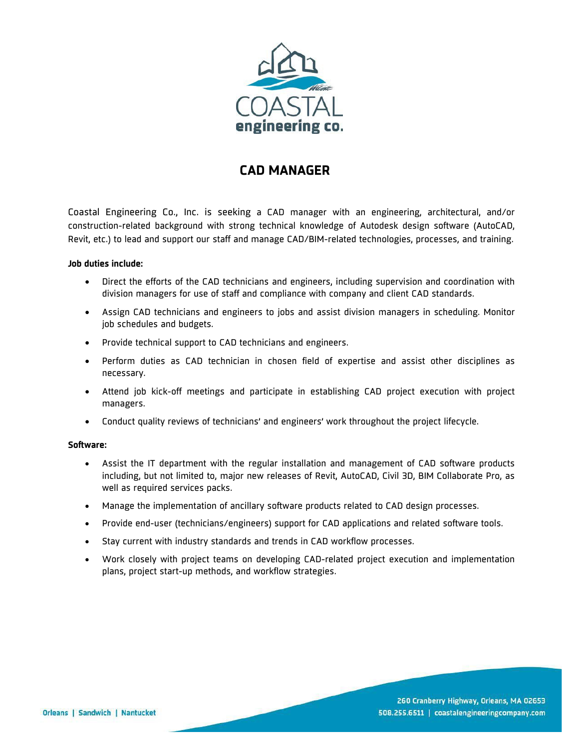

# **CAD MANAGER**

Coastal Engineering Co., Inc. is seeking a CAD manager with an engineering, architectural, and/or construction-related background with strong technical knowledge of Autodesk design software (AutoCAD, Revit, etc.) to lead and support our staff and manage CAD/BIM-related technologies, processes, and training.

# **Job duties include:**

- Direct the efforts of the CAD technicians and engineers, including supervision and coordination with division managers for use of staff and compliance with company and client CAD standards.
- Assign CAD technicians and engineers to jobs and assist division managers in scheduling. Monitor job schedules and budgets.
- Provide technical support to CAD technicians and engineers.
- Perform duties as CAD technician in chosen field of expertise and assist other disciplines as necessary.
- Attend job kick-off meetings and participate in establishing CAD project execution with project managers.
- Conduct quality reviews of technicians' and engineers' work throughout the project lifecycle.

# **Software:**

- Assist the IT department with the regular installation and management of CAD software products including, but not limited to, major new releases of Revit, AutoCAD, Civil 3D, BIM Collaborate Pro, as well as required services packs.
- Manage the implementation of ancillary software products related to CAD design processes.
- Provide end-user (technicians/engineers) support for CAD applications and related software tools.
- Stay current with industry standards and trends in CAD workflow processes.
- Work closely with project teams on developing CAD-related project execution and implementation plans, project start-up methods, and workflow strategies.

260 Cranberry Highway, Orleans, MA 02653 508.255.6511 | coastalengineeringcompany.com